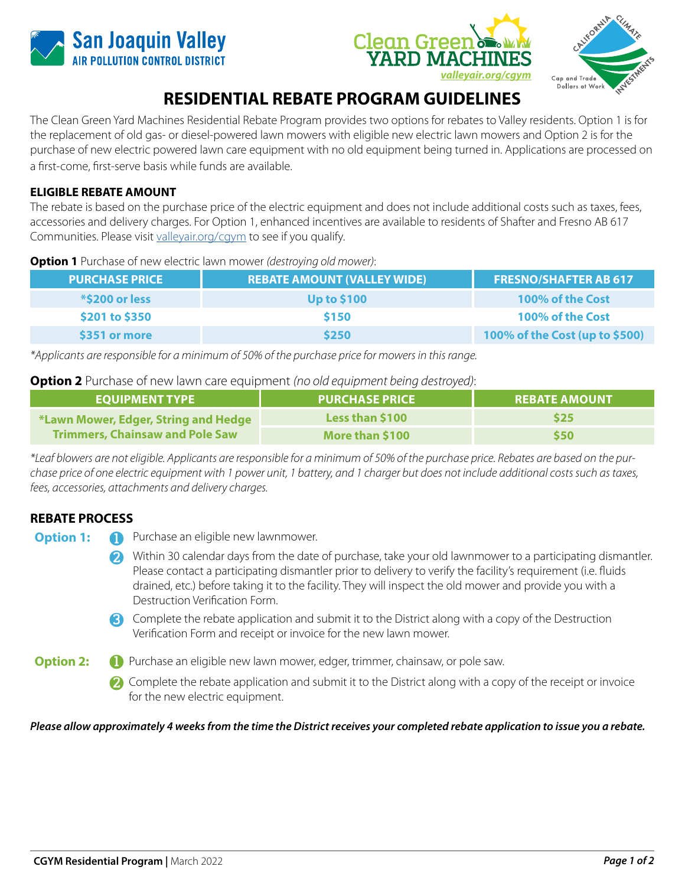





## **RESIDENTIAL REBATE PROGRAM GUIDELINES**

The Clean Green Yard Machines Residential Rebate Program provides two options for rebates to Valley residents. Option 1 is for the replacement of old gas- or diesel-powered lawn mowers with eligible new electric lawn mowers and Option 2 is for the purchase of new electric powered lawn care equipment with no old equipment being turned in. Applications are processed on a first-come, first-serve basis while funds are available.

## **ELIGIBLE REBATE AMOUNT**

The rebate is based on the purchase price of the electric equipment and does not include additional costs such as taxes, fees, accessories and delivery charges. For Option 1, enhanced incentives are available to residents of Shafter and Fresno AB 617 Communities. Please visit [valleyair.org/cgym](www.valleyair.org/cgym) to see if you qualify.

**Option 1** Purchase of new electric lawn mower *(destroying old mower)*:

| <b>PURCHASE PRICE</b> | <b>REBATE AMOUNT (VALLEY WIDE)</b> | <b>FRESNO/SHAFTER AB 617</b>   |
|-----------------------|------------------------------------|--------------------------------|
| <b>*\$200 or less</b> | <b>Up to \$100</b>                 | 100% of the Cost               |
| \$201 to \$350        | \$150                              | 100% of the Cost               |
| \$351 or more         | \$250                              | 100% of the Cost (up to \$500) |

*\*Applicants are responsible for a minimum of 50% of the purchase price for mowers in this range.*

### **Option 2** Purchase of new lawn care equipment *(no old equipment being destroyed)*:

| <b>EQUIPMENT TYPE</b>                                                          | <b>PURCHASE PRICE</b> | <b>REBATE AMOUNT</b> |
|--------------------------------------------------------------------------------|-----------------------|----------------------|
| *Lawn Mower, Edger, String and Hedge<br><b>Trimmers, Chainsaw and Pole Saw</b> | Less than \$100       | \$25                 |
|                                                                                | More than \$100       | \$50                 |

*\*Leaf blowers are not eligible. Applicants are responsible for a minimum of 50% of the purchase price. Rebates are based on the purchase price of one electric equipment with 1 power unit, 1 battery, and 1 charger but does not include additional costs such as taxes, fees, accessories, attachments and delivery charges.*

## **REBATE PROCESS**

- **Option 1: 1** Purchase an eligible new lawnmower.
	- Within 30 calendar days from the date of purchase, take your old lawnmower to a participating dismantler. **2** Please contact a participating dismantler prior to delivery to verify the facility's requirement (i.e. fluids drained, etc.) before taking it to the facility. They will inspect the old mower and provide you with a Destruction Verification Form.
	- Complete the rebate application and submit it to the District along with a copy of the Destruction **3** Verification Form and receipt or invoice for the new lawn mower.
- **Option 2: 1** Purchase an eligible new lawn mower, edger, trimmer, chainsaw, or pole saw.
	- Complete the rebate application and submit it to the District along with a copy of the receipt or invoice **2** for the new electric equipment.

#### *Please allow approximately 4 weeks from the time the District receives your completed rebate application to issue you a rebate.*